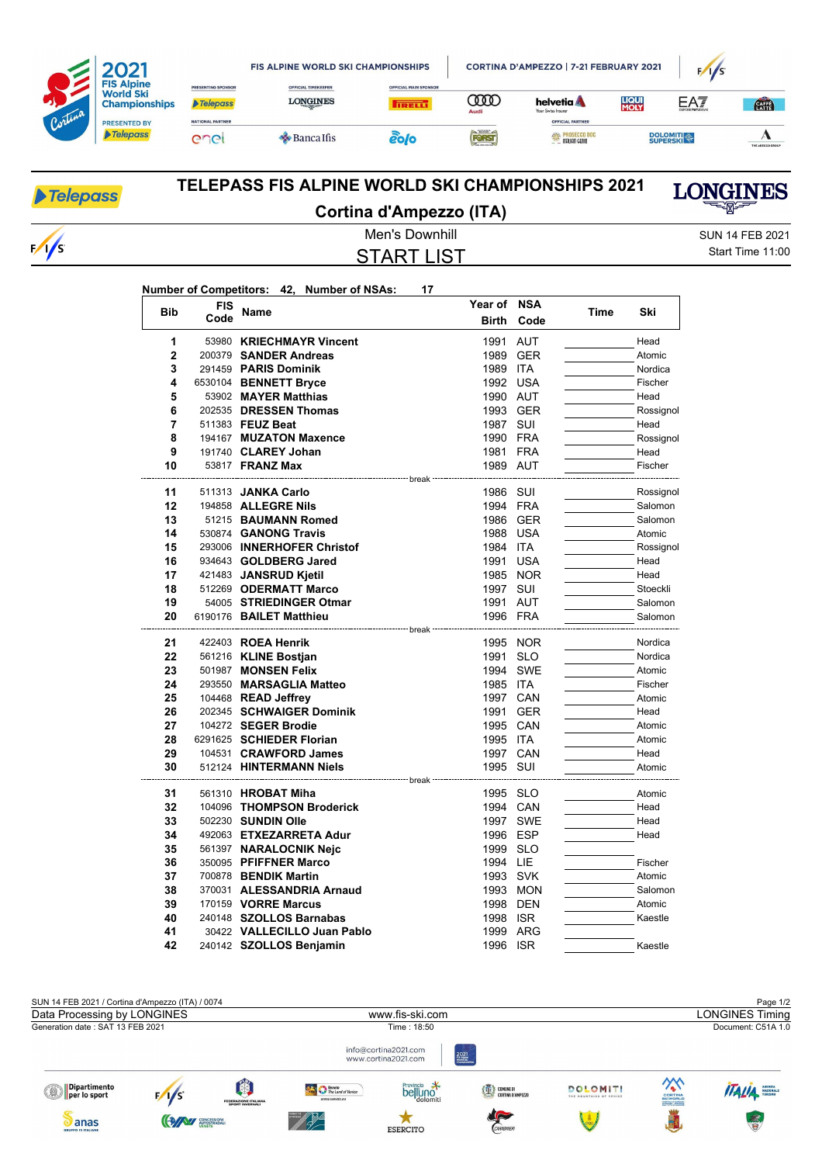|         |                                                               |                                       | <b>FIS ALPINE WORLD SKI CHAMPIONSHIPS</b>     | CORTINA D'AMPEZZO   7-21 FEBRUARY 2021        |           |                                             | F/I/S                |                 |                  |
|---------|---------------------------------------------------------------|---------------------------------------|-----------------------------------------------|-----------------------------------------------|-----------|---------------------------------------------|----------------------|-----------------|------------------|
|         | <b>FIS Alpine</b><br><b>World Ski</b><br><b>Championships</b> | PRESENTING SPONSOR<br><b>Telepass</b> | <b>OFFICIAL TIMEKEEPER</b><br><b>LONGINES</b> | <b>OFFICIAL MAIN SPONSOR</b><br><b>TRELL!</b> | Œ<br>Audi | helvetia <b>A</b><br>Your Swiss Insurer     | <b>LIQUI</b><br>MOLY | EAT             | <b>CATA</b>      |
| Cortina | <b>PRESENTED BY</b><br><b>Telepass</b>                        | <b>NATIONAL PARTNER</b><br>enei       | $\triangle$ Banca Ifis                        | 20/0                                          | FORST     | OFFICIAL PARTNER<br><b>SAN PROSECCO DOC</b> |                      | <b>DOLOMITI</b> |                  |
|         |                                                               |                                       |                                               |                                               |           | <b>TALIAN GENIO</b>                         |                      |                 | THE ADECCO GROUP |

| <b>Telepass</b> | TELEPASS FIS ALPINE WORLD SKI CHAMPIONSHIPS 2021  | <b>LONGINES</b>  |  |
|-----------------|---------------------------------------------------|------------------|--|
|                 | Cortina d'Ampezzo (ITA)                           | ▀▀▓              |  |
|                 | Men's Downhill                                    | SUN 14 FEB 2021  |  |
| $\sqrt{s}$      | START LIST                                        | Start Time 11:00 |  |
|                 | Number of Competitors: 42, Number of NSAs:<br>-17 |                  |  |

| <b>Bib</b>     | <b>FIS</b> | Name                                        | Year of NSA                |            | Time | Ski               |
|----------------|------------|---------------------------------------------|----------------------------|------------|------|-------------------|
|                | Code       |                                             | <b>Birth</b>               | Code       |      |                   |
| 1              |            | 53980 KRIECHMAYR Vincent                    | 1991                       | <b>AUT</b> |      | Head              |
| $\overline{2}$ |            | 200379 SANDER Andreas                       |                            | 1989 GER   |      | Atomic            |
| 3              |            | 291459 PARIS Dominik                        | 1989 ITA                   |            |      | Nordica           |
| 4              |            | 6530104 BENNETT Bryce                       | 1992 USA                   |            |      | Fischer           |
| 5              |            | 53902 MAYER Matthias                        | 1990 AUT                   |            |      | Head              |
| 6              |            | 202535 DRESSEN Thomas                       |                            | 1993 GER   |      | Rossignol         |
| 7              |            | 511383 FEUZ Beat                            | 1987 SUI                   |            |      | Head              |
| 8              |            | 194167 MUZATON Maxence                      | 1990 FRA                   |            |      | Rossignol         |
| 9              |            | 191740 CLAREY Johan                         | 1981 FRA                   |            |      | Head              |
| 10             |            | 53817 <b>FRANZ Max</b>                      | 1989 AUT                   |            |      | Fischer           |
|                |            |                                             | ----- break                |            |      |                   |
| 11             |            | 511313 JANKA Carlo                          | 1986 SUI                   |            |      | Rossignol         |
| 12             |            | 194858 ALLEGRE Nils                         | 1994 FRA                   |            |      | Salomon           |
| 13<br>14       |            | 51215 BAUMANN Romed<br>530874 GANONG Travis | 1988 USA                   | 1986 GER   |      | Salomon<br>Atomic |
| 15             |            | 293006 INNERHOFER Christof                  | 1984 ITA                   |            |      | Rossignol         |
| 16             |            | 934643 GOLDBERG Jared                       | 1991                       | USA        |      | Head              |
| 17             |            | 421483 JANSRUD Kjetil                       |                            | 1985 NOR   |      | Head              |
| 18             |            | 512269 ODERMATT Marco                       | 1997 SUI                   |            |      | Stoeckli          |
| 19             |            | 54005 STRIEDINGER Otmar                     | 1991 AUT                   |            |      | Salomon           |
| 20             |            | 6190176 BAILET Matthieu                     | 1996 FRA                   |            |      | Salomon           |
|                |            |                                             |                            |            |      |                   |
| 21             |            | 422403 ROEA Henrik                          |                            | 1995 NOR   |      | Nordica           |
| 22             |            | 561216 KLINE Bostjan                        | 1991                       | <b>SLO</b> |      | Nordica           |
| 23             |            | 501987 MONSEN Felix                         |                            | 1994 SWE   |      | Atomic            |
| 24             |            | 293550 MARSAGLIA Matteo                     | 1985 ITA                   |            |      | Fischer           |
| 25             |            | 104468 READ Jeffrey                         |                            | 1997 CAN   |      | Atomic            |
| 26             |            | 202345 SCHWAIGER Dominik                    | 1991                       | GER        |      | Head              |
| 27             |            | 104272 SEGER Brodie                         |                            | 1995 CAN   |      | Atomic            |
| 28             |            | 6291625 SCHIEDER Florian                    | 1995 ITA                   |            |      | Atomic            |
| 29             |            | 104531 CRAWFORD James                       |                            | 1997 CAN   |      | Head              |
| 30             |            | 512124 HINTERMANN Niels                     | 1995 SUI                   |            |      | Atomic            |
| 31             |            | 561310 HROBAT Miha                          | ------- break <sup>.</sup> |            |      |                   |
| 32             |            | 104096 THOMPSON Broderick                   | 1995 SLO                   | 1994 CAN   |      | Atomic<br>Head    |
| 33             |            | 502230 SUNDIN Olle                          |                            | 1997 SWE   |      | Head              |
| 34             |            | 492063 ETXEZARRETA Adur                     | 1996 ESP                   |            |      | Head              |
| 35             |            | 561397 NARALOCNIK Nejc                      | 1999 SLO                   |            |      |                   |
| 36             |            | 350095 PFIFFNER Marco                       | 1994 LIE                   |            |      | Fischer           |
| 37             |            | 700878 BENDIK Martin                        | 1993 SVK                   |            |      | Atomic            |
| 38             |            | 370031 ALESSANDRIA Arnaud                   |                            | 1993 MON   |      | Salomon           |
| 39             |            | 170159 VORRE Marcus                         |                            | 1998 DEN   |      | Atomic            |
| 40             |            | 240148 SZOLLOS Barnabas                     | 1998 ISR                   |            |      | Kaestle           |
| 41             |            | 30422 VALLECILLO Juan Pablo                 |                            | 1999 ARG   |      |                   |
| 42             |            | 240142 SZOLLOS Benjamin                     | 1996 ISR                   |            |      | Kaestle           |
|                |            |                                             |                            |            |      |                   |